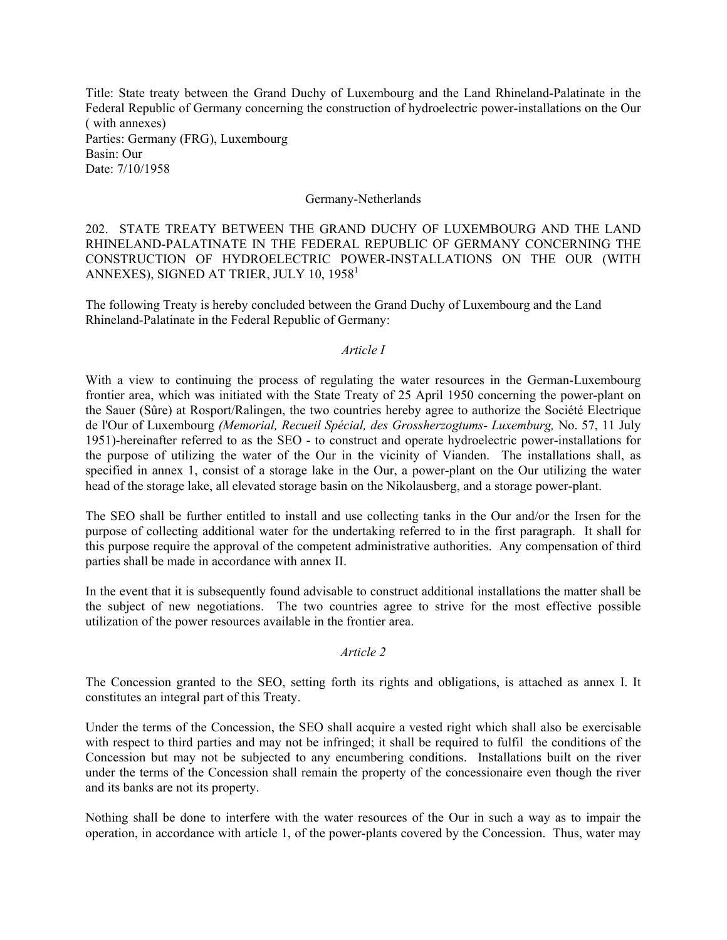Title: State treaty between the Grand Duchy of Luxembourg and the Land Rhineland-Palatinate in the Federal Republic of Germany concerning the construction of hydroelectric power-installations on the Our ( with annexes) Parties: Germany (FRG), Luxembourg Basin: Our Date: 7/10/1958

### Germany-Netherlands

202. STATE TREATY BETWEEN THE GRAND DUCHY OF LUXEMBOURG AND THE LAND RHINELAND-PALATINATE IN THE FEDERAL REPUBLIC OF GERMANY CONCERNING THE CONSTRUCTION OF HYDROELECTRIC POWER-INSTALLATIONS ON THE OUR (WITH ANNEXES), SIGNED AT TRIER, JULY 10, 1958 $^{\rm l}$ 

The following Treaty is hereby concluded between the Grand Duchy of Luxembourg and the Land Rhineland-Palatinate in the Federal Republic of Germany:

#### *Article I*

With a view to continuing the process of regulating the water resources in the German-Luxembourg frontier area, which was initiated with the State Treaty of 25 April 1950 concerning the power-plant on the Sauer (Sûre) at Rosport/Ralingen, the two countries hereby agree to authorize the Société Electrique de l'Our of Luxembourg *(Memorial, Recueil Spécial, des Grossherzogtums- Luxemburg,* No. 57, 11 July 1951)-hereinafter referred to as the SEO - to construct and operate hydroelectric power-installations for the purpose of utilizing the water of the Our in the vicinity of Vianden. The installations shall, as specified in annex 1, consist of a storage lake in the Our, a power-plant on the Our utilizing the water head of the storage lake, all elevated storage basin on the Nikolausberg, and a storage power-plant.

The SEO shall be further entitled to install and use collecting tanks in the Our and/or the Irsen for the purpose of collecting additional water for the undertaking referred to in the first paragraph. It shall for this purpose require the approval of the competent administrative authorities. Any compensation of third parties shall be made in accordance with annex II.

In the event that it is subsequently found advisable to construct additional installations the matter shall be the subject of new negotiations. The two countries agree to strive for the most effective possible utilization of the power resources available in the frontier area.

#### *Article 2*

The Concession granted to the SEO, setting forth its rights and obligations, is attached as annex I. It constitutes an integral part of this Treaty.

Under the terms of the Concession, the SEO shall acquire a vested right which shall also be exercisable with respect to third parties and may not be infringed; it shall be required to fulfil the conditions of the Concession but may not be subjected to any encumbering conditions. Installations built on the river under the terms of the Concession shall remain the property of the concessionaire even though the river and its banks are not its property.

Nothing shall be done to interfere with the water resources of the Our in such a way as to impair the operation, in accordance with article 1, of the power-plants covered by the Concession. Thus, water may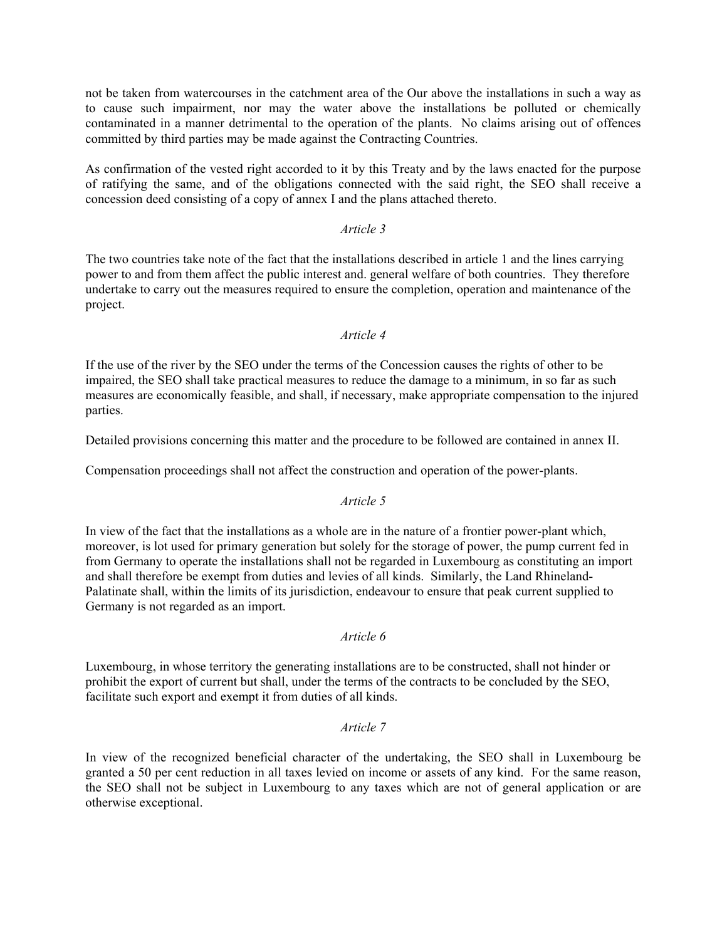not be taken from watercourses in the catchment area of the Our above the installations in such a way as to cause such impairment, nor may the water above the installations be polluted or chemically contaminated in a manner detrimental to the operation of the plants. No claims arising out of offences committed by third parties may be made against the Contracting Countries.

As confirmation of the vested right accorded to it by this Treaty and by the laws enacted for the purpose of ratifying the same, and of the obligations connected with the said right, the SEO shall receive a concession deed consisting of a copy of annex I and the plans attached thereto.

# *Article 3*

The two countries take note of the fact that the installations described in article 1 and the lines carrying power to and from them affect the public interest and. general welfare of both countries. They therefore undertake to carry out the measures required to ensure the completion, operation and maintenance of the project.

# *Article 4*

If the use of the river by the SEO under the terms of the Concession causes the rights of other to be impaired, the SEO shall take practical measures to reduce the damage to a minimum, in so far as such measures are economically feasible, and shall, if necessary, make appropriate compensation to the injured parties.

Detailed provisions concerning this matter and the procedure to be followed are contained in annex II.

Compensation proceedings shall not affect the construction and operation of the power-plants.

### *Article 5*

In view of the fact that the installations as a whole are in the nature of a frontier power-plant which, moreover, is lot used for primary generation but solely for the storage of power, the pump current fed in from Germany to operate the installations shall not be regarded in Luxembourg as constituting an import and shall therefore be exempt from duties and levies of all kinds. Similarly, the Land Rhineland-Palatinate shall, within the limits of its jurisdiction, endeavour to ensure that peak current supplied to Germany is not regarded as an import.

### *Article 6*

Luxembourg, in whose territory the generating installations are to be constructed, shall not hinder or prohibit the export of current but shall, under the terms of the contracts to be concluded by the SEO, facilitate such export and exempt it from duties of all kinds.

### *Article 7*

In view of the recognized beneficial character of the undertaking, the SEO shall in Luxembourg be granted a 50 per cent reduction in all taxes levied on income or assets of any kind. For the same reason, the SEO shall not be subject in Luxembourg to any taxes which are not of general application or are otherwise exceptional.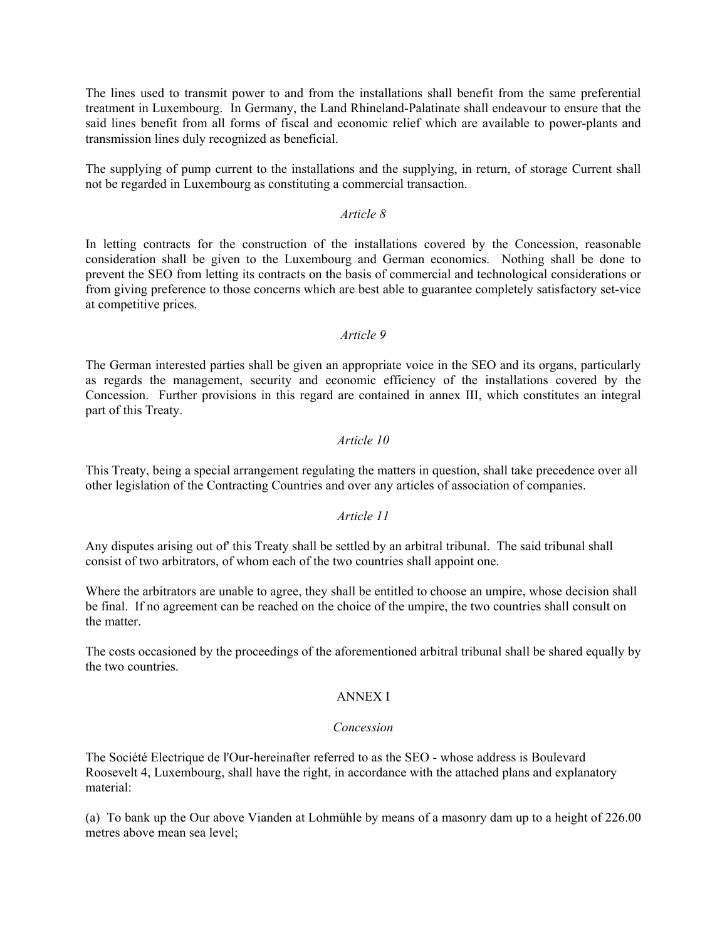The lines used to transmit power to and from the installations shall benefit from the same preferential treatment in Luxembourg. In Germany, the Land Rhineland-Palatinate shall endeavour to ensure that the said lines benefit from all forms of fiscal and economic relief which are available to power-plants and transmission lines duly recognized as beneficial.

The supplying of pump current to the installations and the supplying, in return, of storage Current shall not be regarded in Luxembourg as constituting a commercial transaction.

### *Article 8*

In letting contracts for the construction of the installations covered by the Concession, reasonable consideration shall be given to the Luxembourg and German economics. Nothing shall be done to prevent the SEO from letting its contracts on the basis of commercial and technological considerations or from giving preference to those concerns which are best able to guarantee completely satisfactory set-vice at competitive prices.

### *Article 9*

The German interested parties shall be given an appropriate voice in the SEO and its organs, particularly as regards the management, security and economic efficiency of the installations covered by the Concession. Further provisions in this regard are contained in annex III, which constitutes an integral part of this Treaty.

### *Article 10*

This Treaty, being a special arrangement regulating the matters in question, shall take precedence over all other legislation of the Contracting Countries and over any articles of association of companies.

# *Article 11*

Any disputes arising out of' this Treaty shall be settled by an arbitral tribunal. The said tribunal shall consist of two arbitrators, of whom each of the two countries shall appoint one.

Where the arbitrators are unable to agree, they shall be entitled to choose an umpire, whose decision shall be final. If no agreement can be reached on the choice of the umpire, the two countries shall consult on the matter.

The costs occasioned by the proceedings of the aforementioned arbitral tribunal shall be shared equally by the two countries.

### ANNEX I

### *Concession*

The Société Electrique de l'Our-hereinafter referred to as the SEO - whose address is Boulevard Roosevelt 4, Luxembourg, shall have the right, in accordance with the attached plans and explanatory material:

(a) To bank up the Our above Vianden at Lohmühle by means of a masonry dam up to a height of 226.00 metres above mean sea level;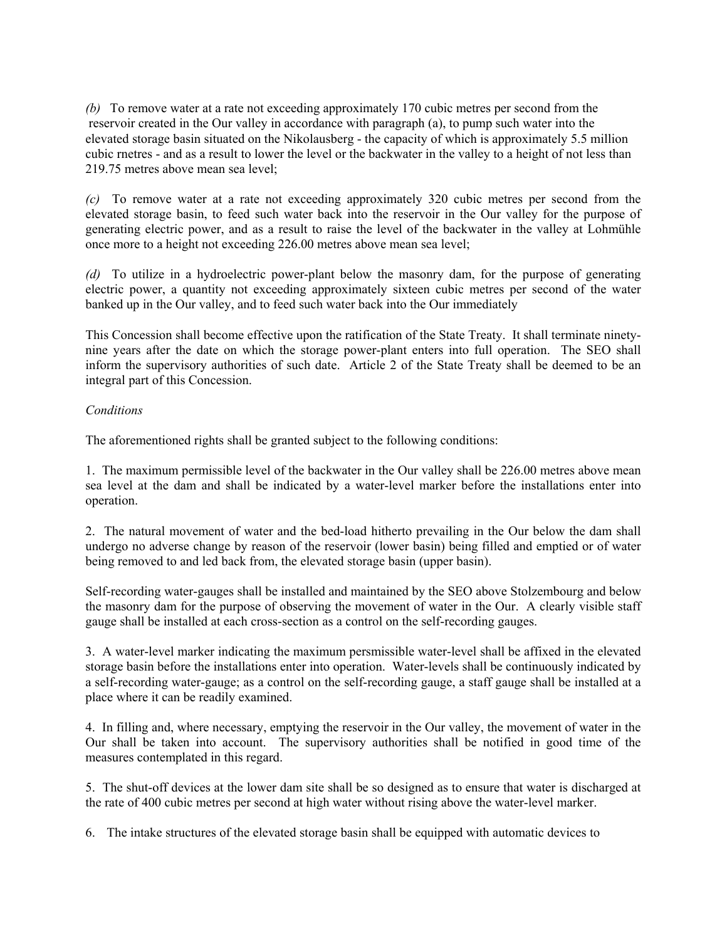*(b)* To remove water at a rate not exceeding approximately 170 cubic metres per second from the reservoir created in the Our valley in accordance with paragraph (a), to pump such water into the elevated storage basin situated on the Nikolausberg - the capacity of which is approximately 5.5 million cubic rnetres - and as a result to lower the level or the backwater in the valley to a height of not less than 219.75 metres above mean sea level;

*(c)* To remove water at a rate not exceeding approximately 320 cubic metres per second from the elevated storage basin, to feed such water back into the reservoir in the Our valley for the purpose of generating electric power, and as a result to raise the level of the backwater in the valley at Lohmühle once more to a height not exceeding 226.00 metres above mean sea level;

*(d)* To utilize in a hydroelectric power-plant below the masonry dam, for the purpose of generating electric power, a quantity not exceeding approximately sixteen cubic metres per second of the water banked up in the Our valley, and to feed such water back into the Our immediately

This Concession shall become effective upon the ratification of the State Treaty. It shall terminate ninetynine years after the date on which the storage power-plant enters into full operation. The SEO shall inform the supervisory authorities of such date. Article 2 of the State Treaty shall be deemed to be an integral part of this Concession.

# *Conditions*

The aforementioned rights shall be granted subject to the following conditions:

1. The maximum permissible level of the backwater in the Our valley shall be 226.00 metres above mean sea level at the dam and shall be indicated by a water-level marker before the installations enter into operation.

2. The natural movement of water and the bed-load hitherto prevailing in the Our below the dam shall undergo no adverse change by reason of the reservoir (lower basin) being filled and emptied or of water being removed to and led back from, the elevated storage basin (upper basin).

Self-recording water-gauges shall be installed and maintained by the SEO above Stolzembourg and below the masonry dam for the purpose of observing the movement of water in the Our. A clearly visible staff gauge shall be installed at each cross-section as a control on the self-recording gauges.

3. A water-level marker indicating the maximum persmissible water-level shall be affixed in the elevated storage basin before the installations enter into operation. Water-levels shall be continuously indicated by a self-recording water-gauge; as a control on the self-recording gauge, a staff gauge shall be installed at a place where it can be readily examined.

4. In filling and, where necessary, emptying the reservoir in the Our valley, the movement of water in the Our shall be taken into account. The supervisory authorities shall be notified in good time of the measures contemplated in this regard.

5. The shut-off devices at the lower dam site shall be so designed as to ensure that water is discharged at the rate of 400 cubic metres per second at high water without rising above the water-level marker.

6. The intake structures of the elevated storage basin shall be equipped with automatic devices to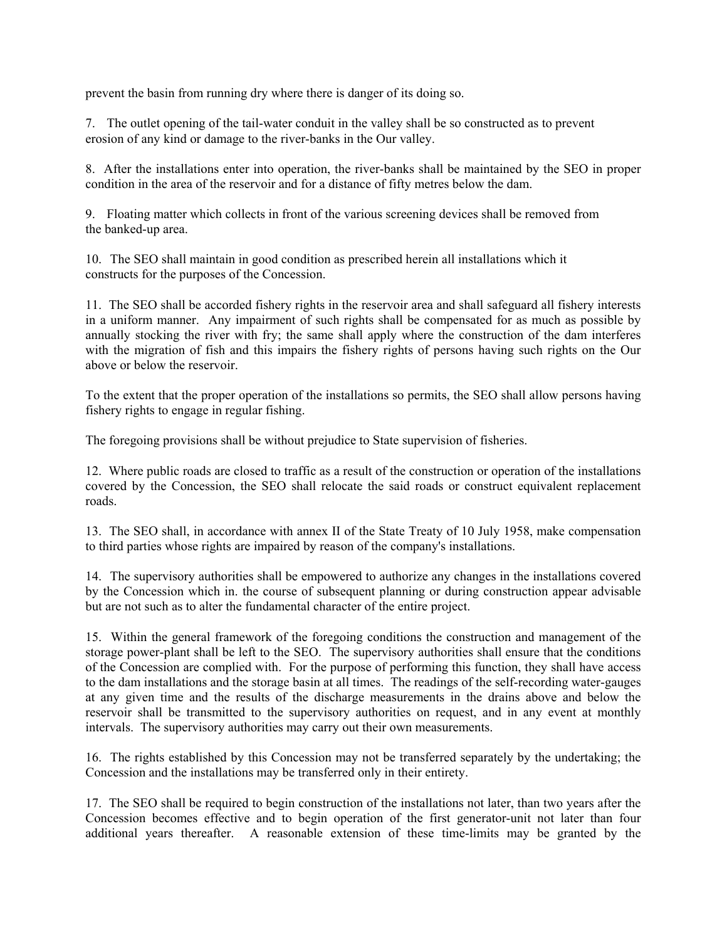prevent the basin from running dry where there is danger of its doing so.

7. The outlet opening of the tail-water conduit in the valley shall be so constructed as to prevent erosion of any kind or damage to the river-banks in the Our valley.

8. After the installations enter into operation, the river-banks shall be maintained by the SEO in proper condition in the area of the reservoir and for a distance of fifty metres below the dam.

9. Floating matter which collects in front of the various screening devices shall be removed from the banked-up area.

10. The SEO shall maintain in good condition as prescribed herein all installations which it constructs for the purposes of the Concession.

11. The SEO shall be accorded fishery rights in the reservoir area and shall safeguard all fishery interests in a uniform manner. Any impairment of such rights shall be compensated for as much as possible by annually stocking the river with fry; the same shall apply where the construction of the dam interferes with the migration of fish and this impairs the fishery rights of persons having such rights on the Our above or below the reservoir.

To the extent that the proper operation of the installations so permits, the SEO shall allow persons having fishery rights to engage in regular fishing.

The foregoing provisions shall be without prejudice to State supervision of fisheries.

12. Where public roads are closed to traffic as a result of the construction or operation of the installations covered by the Concession, the SEO shall relocate the said roads or construct equivalent replacement roads.

13. The SEO shall, in accordance with annex II of the State Treaty of 10 July 1958, make compensation to third parties whose rights are impaired by reason of the company's installations.

14. The supervisory authorities shall be empowered to authorize any changes in the installations covered by the Concession which in. the course of subsequent planning or during construction appear advisable but are not such as to alter the fundamental character of the entire project.

15. Within the general framework of the foregoing conditions the construction and management of the storage power-plant shall be left to the SEO. The supervisory authorities shall ensure that the conditions of the Concession are complied with. For the purpose of performing this function, they shall have access to the dam installations and the storage basin at all times. The readings of the self-recording water-gauges at any given time and the results of the discharge measurements in the drains above and below the reservoir shall be transmitted to the supervisory authorities on request, and in any event at monthly intervals. The supervisory authorities may carry out their own measurements.

16. The rights established by this Concession may not be transferred separately by the undertaking; the Concession and the installations may be transferred only in their entirety.

17. The SEO shall be required to begin construction of the installations not later, than two years after the Concession becomes effective and to begin operation of the first generator-unit not later than four additional years thereafter. A reasonable extension of these time-limits may be granted by the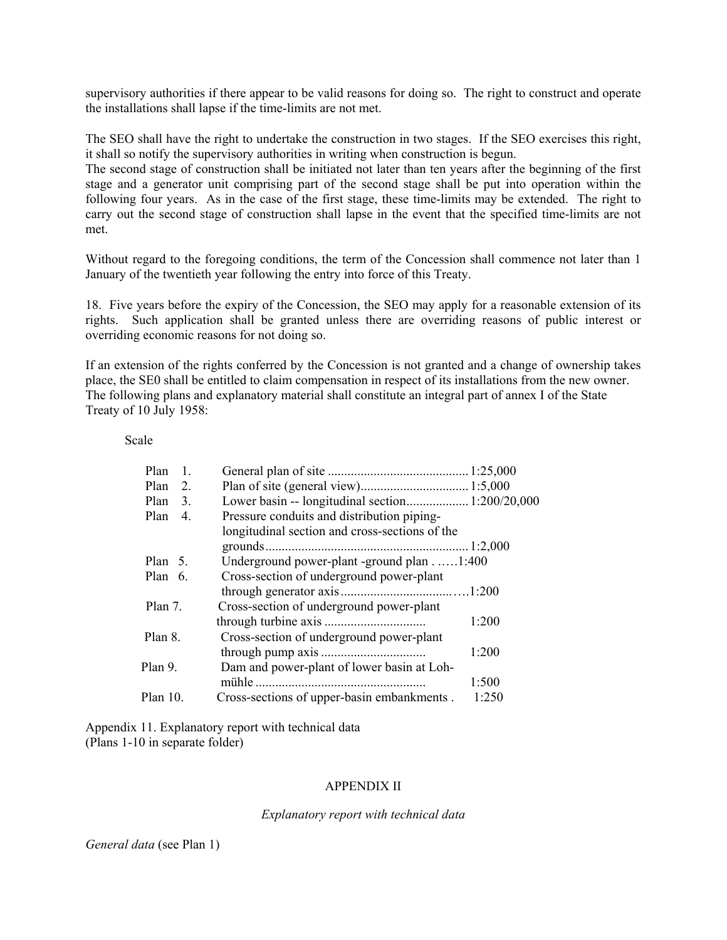supervisory authorities if there appear to be valid reasons for doing so. The right to construct and operate the installations shall lapse if the time-limits are not met.

The SEO shall have the right to undertake the construction in two stages. If the SEO exercises this right, it shall so notify the supervisory authorities in writing when construction is begun.

The second stage of construction shall be initiated not later than ten years after the beginning of the first stage and a generator unit comprising part of the second stage shall be put into operation within the following four years. As in the case of the first stage, these time-limits may be extended. The right to carry out the second stage of construction shall lapse in the event that the specified time-limits are not met.

Without regard to the foregoing conditions, the term of the Concession shall commence not later than 1 January of the twentieth year following the entry into force of this Treaty.

18. Five years before the expiry of the Concession, the SEO may apply for a reasonable extension of its rights. Such application shall be granted unless there are overriding reasons of public interest or overriding economic reasons for not doing so.

If an extension of the rights conferred by the Concession is not granted and a change of ownership takes place, the SE0 shall be entitled to claim compensation in respect of its installations from the new owner. The following plans and explanatory material shall constitute an integral part of annex I of the State Treaty of 10 July 1958:

Scale

| Plan<br>$\mathbf{1}$ . |                                                |       |
|------------------------|------------------------------------------------|-------|
| Plan<br>2.             |                                                |       |
| Plan<br>3.             |                                                |       |
| Plan<br>4.             | Pressure conduits and distribution piping-     |       |
|                        | longitudinal section and cross-sections of the |       |
|                        |                                                |       |
| Plan $5$ .             | Underground power-plant -ground plan1:400      |       |
| Plan $6.$              | Cross-section of underground power-plant       |       |
|                        |                                                |       |
| Plan 7.                | Cross-section of underground power-plant       |       |
|                        |                                                | 1:200 |
| Plan 8.                | Cross-section of underground power-plant       |       |
|                        |                                                | 1:200 |
| Plan 9.                | Dam and power-plant of lower basin at Loh-     |       |
|                        |                                                | 1:500 |
| Plan 10.               | Cross-sections of upper-basin embankments.     | 1:250 |

Appendix 11. Explanatory report with technical data (Plans 1-10 in separate folder)

### APPENDIX II

*Explanatory report with technical data*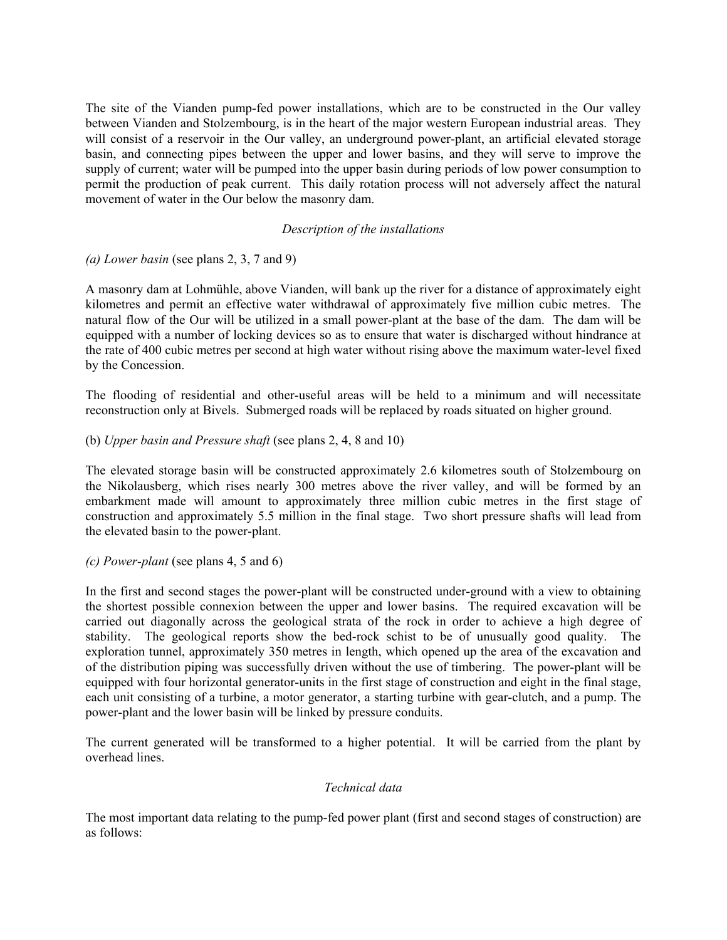The site of the Vianden pump-fed power installations, which are to be constructed in the Our valley between Vianden and Stolzembourg, is in the heart of the major western European industrial areas. They will consist of a reservoir in the Our valley, an underground power-plant, an artificial elevated storage basin, and connecting pipes between the upper and lower basins, and they will serve to improve the supply of current; water will be pumped into the upper basin during periods of low power consumption to permit the production of peak current. This daily rotation process will not adversely affect the natural movement of water in the Our below the masonry dam.

# *Description of the installations*

*(a) Lower basin* (see plans 2, 3, 7 and 9)

A masonry dam at Lohmühle, above Vianden, will bank up the river for a distance of approximately eight kilometres and permit an effective water withdrawal of approximately five million cubic metres. The natural flow of the Our will be utilized in a small power-plant at the base of the dam. The dam will be equipped with a number of locking devices so as to ensure that water is discharged without hindrance at the rate of 400 cubic metres per second at high water without rising above the maximum water-level fixed by the Concession.

The flooding of residential and other-useful areas will be held to a minimum and will necessitate reconstruction only at Bivels. Submerged roads will be replaced by roads situated on higher ground.

### (b) *Upper basin and Pressure shaft* (see plans 2, 4, 8 and 10)

The elevated storage basin will be constructed approximately 2.6 kilometres south of Stolzembourg on the Nikolausberg, which rises nearly 300 metres above the river valley, and will be formed by an embarkment made will amount to approximately three million cubic metres in the first stage of construction and approximately 5.5 million in the final stage. Two short pressure shafts will lead from the elevated basin to the power-plant.

### *(c) Power-plant* (see plans 4, 5 and 6)

In the first and second stages the power-plant will be constructed under-ground with a view to obtaining the shortest possible connexion between the upper and lower basins. The required excavation will be carried out diagonally across the geological strata of the rock in order to achieve a high degree of stability. The geological reports show the bed-rock schist to be of unusually good quality. The exploration tunnel, approximately 350 metres in length, which opened up the area of the excavation and of the distribution piping was successfully driven without the use of timbering. The power-plant will be equipped with four horizontal generator-units in the first stage of construction and eight in the final stage, each unit consisting of a turbine, a motor generator, a starting turbine with gear-clutch, and a pump. The power-plant and the lower basin will be linked by pressure conduits.

The current generated will be transformed to a higher potential. It will be carried from the plant by overhead lines.

### *Technical data*

The most important data relating to the pump-fed power plant (first and second stages of construction) are as follows: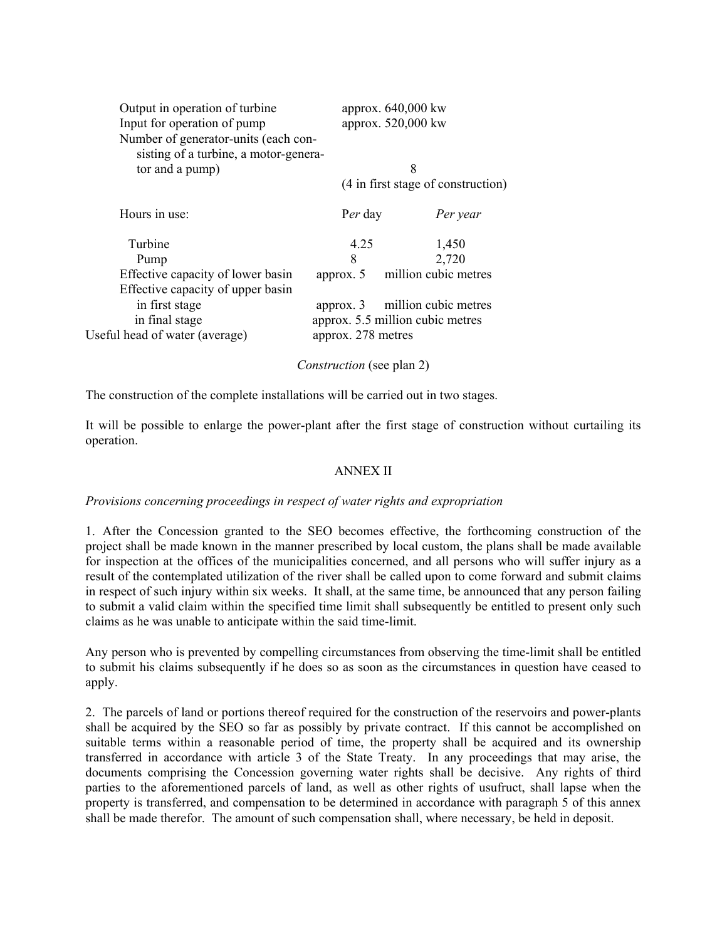| Output in operation of turbine<br>Input for operation of pump<br>Number of generator-units (each con-<br>sisting of a turbine, a motor-genera- |                                 | approx. 640,000 kw<br>approx. 520,000 kw                 |  |
|------------------------------------------------------------------------------------------------------------------------------------------------|---------------------------------|----------------------------------------------------------|--|
| tor and a pump)                                                                                                                                |                                 | 8                                                        |  |
|                                                                                                                                                |                                 | (4 in first stage of construction)                       |  |
| Hours in use:                                                                                                                                  | Per day                         | Per year                                                 |  |
| Turbine                                                                                                                                        | 4.25                            | 1,450                                                    |  |
| Pump                                                                                                                                           | 8                               | 2,720                                                    |  |
| Effective capacity of lower basin<br>Effective capacity of upper basin                                                                         | approx. $5$                     | million cubic metres                                     |  |
| in first stage<br>in final stage<br>Useful head of water (average)                                                                             | approx. 3<br>approx. 278 metres | million cubic metres<br>approx. 5.5 million cubic metres |  |

*Construction* (see plan 2)

The construction of the complete installations will be carried out in two stages.

It will be possible to enlarge the power-plant after the first stage of construction without curtailing its operation.

# ANNEX II

# *Provisions concerning proceedings in respect of water rights and expropriation*

1. After the Concession granted to the SEO becomes effective, the forthcoming construction of the project shall be made known in the manner prescribed by local custom, the plans shall be made available for inspection at the offices of the municipalities concerned, and all persons who will suffer injury as a result of the contemplated utilization of the river shall be called upon to come forward and submit claims in respect of such injury within six weeks. It shall, at the same time, be announced that any person failing to submit a valid claim within the specified time limit shall subsequently be entitled to present only such claims as he was unable to anticipate within the said time-limit.

Any person who is prevented by compelling circumstances from observing the time-limit shall be entitled to submit his claims subsequently if he does so as soon as the circumstances in question have ceased to apply.

2. The parcels of land or portions thereof required for the construction of the reservoirs and power-plants shall be acquired by the SEO so far as possibly by private contract. If this cannot be accomplished on suitable terms within a reasonable period of time, the property shall be acquired and its ownership transferred in accordance with article 3 of the State Treaty. In any proceedings that may arise, the documents comprising the Concession governing water rights shall be decisive. Any rights of third parties to the aforementioned parcels of land, as well as other rights of usufruct, shall lapse when the property is transferred, and compensation to be determined in accordance with paragraph 5 of this annex shall be made therefor. The amount of such compensation shall, where necessary, be held in deposit.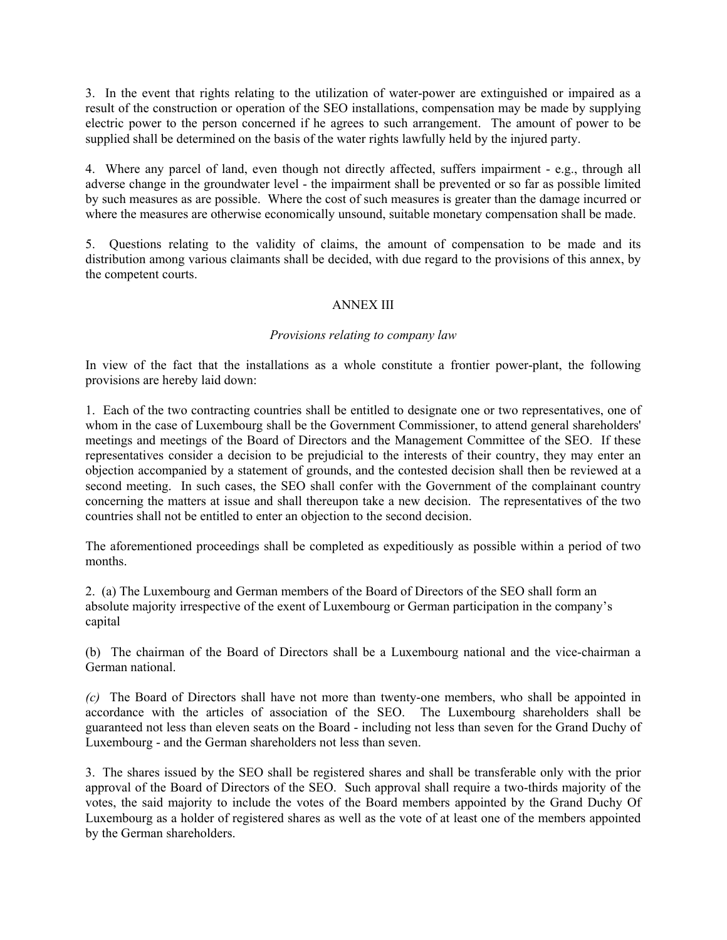3. In the event that rights relating to the utilization of water-power are extinguished or impaired as a result of the construction or operation of the SEO installations, compensation may be made by supplying electric power to the person concerned if he agrees to such arrangement. The amount of power to be supplied shall be determined on the basis of the water rights lawfully held by the injured party.

4. Where any parcel of land, even though not directly affected, suffers impairment - e.g., through all adverse change in the groundwater level - the impairment shall be prevented or so far as possible limited by such measures as are possible. Where the cost of such measures is greater than the damage incurred or where the measures are otherwise economically unsound, suitable monetary compensation shall be made.

5. Questions relating to the validity of claims, the amount of compensation to be made and its distribution among various claimants shall be decided, with due regard to the provisions of this annex, by the competent courts.

# ANNEX III

### *Provisions relating to company law*

In view of the fact that the installations as a whole constitute a frontier power-plant, the following provisions are hereby laid down:

1. Each of the two contracting countries shall be entitled to designate one or two representatives, one of whom in the case of Luxembourg shall be the Government Commissioner, to attend general shareholders' meetings and meetings of the Board of Directors and the Management Committee of the SEO. If these representatives consider a decision to be prejudicial to the interests of their country, they may enter an objection accompanied by a statement of grounds, and the contested decision shall then be reviewed at a second meeting. In such cases, the SEO shall confer with the Government of the complainant country concerning the matters at issue and shall thereupon take a new decision. The representatives of the two countries shall not be entitled to enter an objection to the second decision.

The aforementioned proceedings shall be completed as expeditiously as possible within a period of two months.

2. (a) The Luxembourg and German members of the Board of Directors of the SEO shall form an absolute majority irrespective of the exent of Luxembourg or German participation in the company's capital

(b) The chairman of the Board of Directors shall be a Luxembourg national and the vice-chairman a German national.

*(c)* The Board of Directors shall have not more than twenty-one members, who shall be appointed in accordance with the articles of association of the SEO. The Luxembourg shareholders shall be guaranteed not less than eleven seats on the Board - including not less than seven for the Grand Duchy of Luxembourg - and the German shareholders not less than seven.

3. The shares issued by the SEO shall be registered shares and shall be transferable only with the prior approval of the Board of Directors of the SEO. Such approval shall require a two-thirds majority of the votes, the said majority to include the votes of the Board members appointed by the Grand Duchy Of Luxembourg as a holder of registered shares as well as the vote of at least one of the members appointed by the German shareholders.